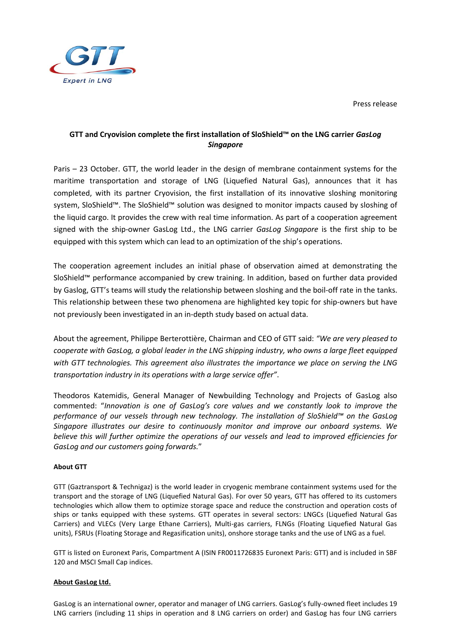Press release



## **GTT and Cryovision complete the first installation of SloShield™ on the LNG carrier** *GasLog Singapore*

Paris – 23 October. GTT, the world leader in the design of membrane containment systems for the maritime transportation and storage of LNG (Liquefied Natural Gas), announces that it has completed, with its partner Cryovision, the first installation of its innovative sloshing monitoring system, SloShield™. The SloShield™ solution was designed to monitor impacts caused by sloshing of the liquid cargo. It provides the crew with real time information. As part of a cooperation agreement signed with the ship-owner GasLog Ltd., the LNG carrier *GasLog Singapore* is the first ship to be equipped with this system which can lead to an optimization of the ship's operations.

The cooperation agreement includes an initial phase of observation aimed at demonstrating the SloShield™ performance accompanied by crew training. In addition, based on further data provided by Gaslog, GTT's teams will study the relationship between sloshing and the boil-off rate in the tanks. This relationship between these two phenomena are highlighted key topic for ship-owners but have not previously been investigated in an in-depth study based on actual data.

About the agreement, Philippe Berterottière, Chairman and CEO of GTT said: *"We are very pleased to cooperate with GasLog, a global leader in the LNG shipping industry, who owns a large fleet equipped with GTT technologies. This agreement also illustrates the importance we place on serving the LNG transportation industry in its operations with a large service offer"*.

Theodoros Katemidis, General Manager of Newbuilding Technology and Projects of GasLog also commented: "*Innovation is one of GasLog's core values and we constantly look to improve the performance of our vessels through new technology. The installation of SloShield™ on the GasLog Singapore illustrates our desire to continuously monitor and improve our onboard systems. We believe this will further optimize the operations of our vessels and lead to improved efficiencies for GasLog and our customers going forwards.*"

## **About GTT**

GTT (Gaztransport & Technigaz) is the world leader in cryogenic membrane containment systems used for the transport and the storage of LNG (Liquefied Natural Gas). For over 50 years, GTT has offered to its customers technologies which allow them to optimize storage space and reduce the construction and operation costs of ships or tanks equipped with these systems. GTT operates in several sectors: LNGCs (Liquefied Natural Gas Carriers) and VLECs (Very Large Ethane Carriers), Multi-gas carriers, FLNGs (Floating Liquefied Natural Gas units), FSRUs (Floating Storage and Regasification units), onshore storage tanks and the use of LNG as a fuel.

GTT is listed on Euronext Paris, Compartment A (ISIN FR0011726835 Euronext Paris: GTT) and is included in SBF 120 and MSCI Small Cap indices.

## **About GasLog Ltd.**

GasLog is an international owner, operator and manager of LNG carriers. GasLog's fully-owned fleet includes 19 LNG carriers (including 11 ships in operation and 8 LNG carriers on order) and GasLog has four LNG carriers